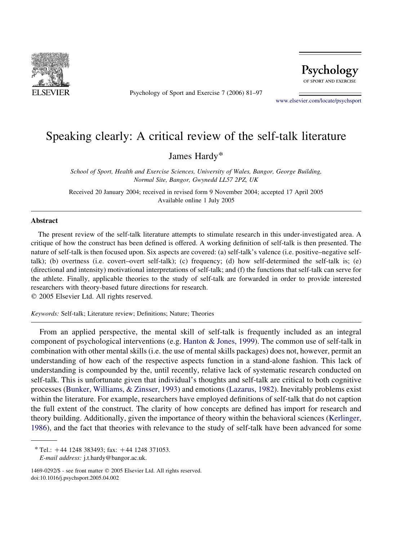

Psychology of Sport and Exercise 7 (2006) 81–97



[www.elsevier.com/locate/psychsport](http://www.elsevier.com/locate/psychsport)

# Speaking clearly: A critical review of the self-talk literature

James Hardy\*

School of Sport, Health and Exercise Sciences, University of Wales, Bangor, George Building, Normal Site, Bangor, Gwynedd LL57 2PZ, UK

Received 20 January 2004; received in revised form 9 November 2004; accepted 17 April 2005 Available online 1 July 2005

#### **Abstract**

The present review of the self-talk literature attempts to stimulate research in this under-investigated area. A critique of how the construct has been defined is offered. A working definition of self-talk is then presented. The nature of self-talk is then focused upon. Six aspects are covered: (a) self-talk's valence (i.e. positive–negative selftalk); (b) overtness (i.e. covert–overt self-talk); (c) frequency; (d) how self-determined the self-talk is; (e) (directional and intensity) motivational interpretations of self-talk; and (f) the functions that self-talk can serve for the athlete. Finally, applicable theories to the study of self-talk are forwarded in order to provide interested researchers with theory-based future directions for research.

 $© 2005 Elsevier Ltd. All rights reserved.$ 

Keywords: Self-talk; Literature review; Definitions; Nature; Theories

From an applied perspective, the mental skill of self-talk is frequently included as an integral component of psychological interventions (e.g. [Hanton & Jones, 1999](#page-15-0)). The common use of self-talk in combination with other mental skills (i.e. the use of mental skills packages) does not, however, permit an understanding of how each of the respective aspects function in a stand-alone fashion. This lack of understanding is compounded by the, until recently, relative lack of systematic research conducted on self-talk. This is unfortunate given that individual's thoughts and self-talk are critical to both cognitive processes ([Bunker, Williams, & Zinsser, 1993](#page-14-0)) and emotions ([Lazarus, 1982\)](#page-15-0). Inevitably problems exist within the literature. For example, researchers have employed definitions of self-talk that do not caption the full extent of the construct. The clarity of how concepts are defined has import for research and theory building. Additionally, given the importance of theory within the behavioral sciences [\(Kerlinger,](#page-15-0) [1986](#page-15-0)), and the fact that theories with relevance to the study of self-talk have been advanced for some

 $*$  Tel.:  $+44$  1248 383493; fax:  $+44$  1248 371053.

E-mail address: j.t.hardy@bangor.ac.uk.

<sup>1469-0292/\$ -</sup> see front matter © 2005 Elsevier Ltd. All rights reserved. doi:10.1016/j.psychsport.2005.04.002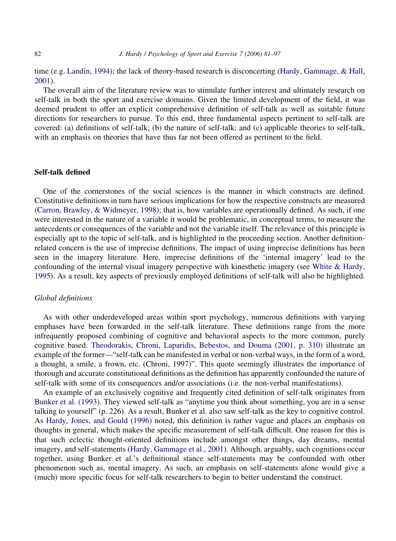time (e.g. [Landin, 1994\)](#page-15-0); the lack of theory-based research is disconcerting ([Hardy, Gammage, & Hall,](#page-15-0) [2001](#page-15-0)).

The overall aim of the literature review was to stimulate further interest and ultimately research on self-talk in both the sport and exercise domains. Given the limited development of the field, it was deemed prudent to offer an explicit comprehensive definition of self-talk as well as suitable future directions for researchers to pursue. To this end, three fundamental aspects pertinent to self-talk are covered: (a) definitions of self-talk; (b) the nature of self-talk; and (c) applicable theories to self-talk, with an emphasis on theories that have thus far not been offered as pertinent to the field.

## Self-talk defined

One of the cornerstones of the social sciences is the manner in which constructs are defined. Constitutive definitions in turn have serious implications for how the respective constructs are measured [\(Carron, Brawley, & Widmeyer, 1998](#page-14-0)); that is, how variables are operationally defined. As such, if one were interested in the nature of a variable it would be problematic, in conceptual terms, to measure the antecedents or consequences of the variable and not the variable itself. The relevance of this principle is especially apt to the topic of self-talk, and is highlighted in the proceeding section. Another definitionrelated concern is the use of imprecise definitions. The impact of using imprecise definitions has been seen in the imagery literature. Here, imprecise definitions of the 'internal imagery' lead to the confounding of the internal visual imagery perspective with kinesthetic imagery (see [White & Hardy,](#page-16-0) [1995](#page-16-0)). As a result, key aspects of previously employed definitions of self-talk will also be highlighted.

## Global definitions

As with other underdeveloped areas within sport psychology, numerous definitions with varying emphases have been forwarded in the self-talk literature. These definitions range from the more infrequently proposed combining of cognitive and behavioral aspects to the more common, purely cognitive based. [Theodorakis, Chroni, Laparidis, Bebestos, and Douma \(2001, p. 310\)](#page-16-0) illustrate an example of the former—"self-talk can be manifested in verbal or non-verbal ways, in the form of a word, a thought, a smile, a frown, etc. (Chroni, 1997)". This quote seemingly illustrates the importance of thorough and accurate constitutional definitions as the definition has apparently confounded the nature of self-talk with some of its consequences and/or associations (i.e. the non-verbal manifestations).

An example of an exclusively cognitive and frequently cited definition of self-talk originates from [Bunker et al. \(1993\).](#page-14-0) They viewed self-talk as "anytime you think about something, you are in a sense talking to yourself" (p. 226). As a result, Bunker et al. also saw self-talk as the key to cognitive control. As [Hardy, Jones, and Gould \(1996\)](#page-15-0) noted, this definition is rather vague and places an emphasis on thoughts in general, which makes the specific measurement of self-talk difficult. One reason for this is that such eclectic thought-oriented definitions include amongst other things, day dreams, mental imagery, and self-statements [\(Hardy, Gammage et al., 2001\)](#page-15-0). Although, arguably, such cognitions occur together, using Bunker et al.'s definitional stance self-statements may be confounded with other phenomenon such as, mental imagery. As such, an emphasis on self-statements alone would give a (much) more specific focus for self-talk researchers to begin to better understand the construct.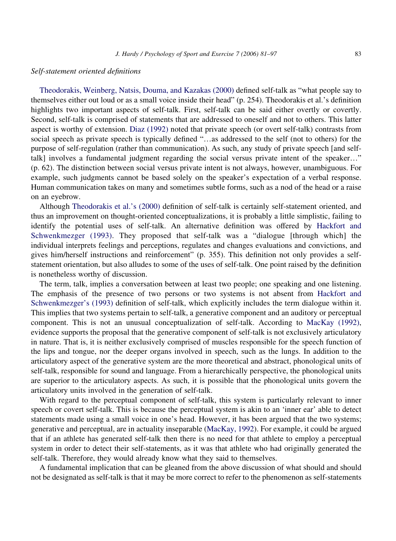# Self-statement oriented definitions

[Theodorakis, Weinberg, Natsis, Douma, and Kazakas \(2000\)](#page-16-0) defined self-talk as "what people say to themselves either out loud or as a small voice inside their head" (p. 254). Theodorakis et al.'s definition highlights two important aspects of self-talk. First, self-talk can be said either overtly or covertly. Second, self-talk is comprised of statements that are addressed to oneself and not to others. This latter aspect is worthy of extension. [Diaz \(1992\)](#page-14-0) noted that private speech (or overt self-talk) contrasts from social speech as private speech is typically defined "...as addressed to the self (not to others) for the purpose of self-regulation (rather than communication). As such, any study of private speech [and selftalk] involves a fundamental judgment regarding the social versus private intent of the speaker..." (p. 62). The distinction between social versus private intent is not always, however, unambiguous. For example, such judgments cannot be based solely on the speaker's expectation of a verbal response. Human communication takes on many and sometimes subtle forms, such as a nod of the head or a raise on an eyebrow.

Although [Theodorakis et al.'s \(2000\)](#page-16-0) definition of self-talk is certainly self-statement oriented, and thus an improvement on thought-oriented conceptualizations, it is probably a little simplistic, failing to identify the potential uses of self-talk. An alternative definition was offered by [Hackfort and](#page-14-0) [Schwenkmezger \(1993\).](#page-14-0) They proposed that self-talk was a "dialogue [through which] the individual interprets feelings and perceptions, regulates and changes evaluations and convictions, and gives him/herself instructions and reinforcement" (p. 355). This definition not only provides a selfstatement orientation, but also alludes to some of the uses of self-talk. One point raised by the definition is nonetheless worthy of discussion.

The term, talk, implies a conversation between at least two people; one speaking and one listening. The emphasis of the presence of two persons or two systems is not absent from [Hackfort and](#page-14-0) [Schwenkmezger's \(1993\)](#page-14-0) definition of self-talk, which explicitly includes the term dialogue within it. This implies that two systems pertain to self-talk, a generative component and an auditory or perceptual component. This is not an unusual conceptualization of self-talk. According to [MacKay \(1992\)](#page-15-0), evidence supports the proposal that the generative component of self-talk is not exclusively articulatory in nature. That is, it is neither exclusively comprised of muscles responsible for the speech function of the lips and tongue, nor the deeper organs involved in speech, such as the lungs. In addition to the articulatory aspect of the generative system are the more theoretical and abstract, phonological units of self-talk, responsible for sound and language. From a hierarchically perspective, the phonological units are superior to the articulatory aspects. As such, it is possible that the phonological units govern the articulatory units involved in the generation of self-talk.

With regard to the perceptual component of self-talk, this system is particularly relevant to inner speech or covert self-talk. This is because the perceptual system is akin to an 'inner ear' able to detect statements made using a small voice in one's head. However, it has been argued that the two systems; generative and perceptual, are in actuality inseparable [\(MacKay, 1992](#page-15-0)). For example, it could be argued that if an athlete has generated self-talk then there is no need for that athlete to employ a perceptual system in order to detect their self-statements, as it was that athlete who had originally generated the self-talk. Therefore, they would already know what they said to themselves.

A fundamental implication that can be gleaned from the above discussion of what should and should not be designated as self-talk is that it may be more correct to refer to the phenomenon as self-statements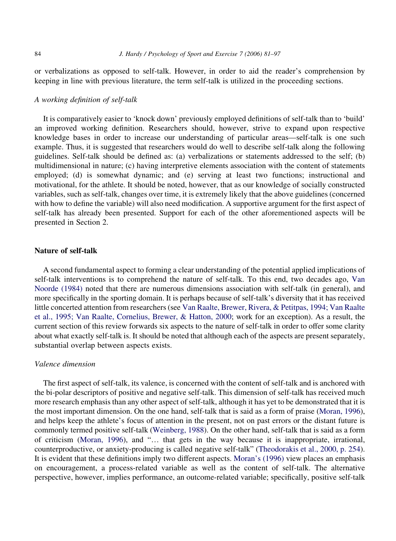or verbalizations as opposed to self-talk. However, in order to aid the reader's comprehension by keeping in line with previous literature, the term self-talk is utilized in the proceeding sections.

## A working definition of self-talk

It is comparatively easier to 'knock down' previously employed definitions of self-talk than to 'build' an improved working definition. Researchers should, however, strive to expand upon respective knowledge bases in order to increase our understanding of particular areas—self-talk is one such example. Thus, it is suggested that researchers would do well to describe self-talk along the following guidelines. Self-talk should be defined as: (a) verbalizations or statements addressed to the self; (b) multidimensional in nature; (c) having interpretive elements association with the content of statements employed; (d) is somewhat dynamic; and (e) serving at least two functions; instructional and motivational, for the athlete. It should be noted, however, that as our knowledge of socially constructed variables, such as self-talk, changes over time, it is extremely likely that the above guidelines (concerned with how to define the variable) will also need modification. A supportive argument for the first aspect of self-talk has already been presented. Support for each of the other aforementioned aspects will be presented in Section 2.

# Nature of self-talk

A second fundamental aspect to forming a clear understanding of the potential applied implications of self-talk interventions is to comprehend the nature of self-talk. To this end, two decades ago, [Van](#page-16-0) [Noorde \(1984\)](#page-16-0) noted that there are numerous dimensions association with self-talk (in general), and more specifically in the sporting domain. It is perhaps because of self-talk's diversity that it has received little concerted attention from researchers (see [Van Raalte, Brewer, Rivera, & Petitpas, 1994; Van Raalte](#page-16-0) [et al., 1995; Van Raalte, Cornelius, Brewer, & Hatton, 2000](#page-16-0); work for an exception). As a result, the current section of this review forwards six aspects to the nature of self-talk in order to offer some clarity about what exactly self-talk is. It should be noted that although each of the aspects are present separately, substantial overlap between aspects exists.

# Valence dimension

The first aspect of self-talk, its valence, is concerned with the content of self-talk and is anchored with the bi-polar descriptors of positive and negative self-talk. This dimension of self-talk has received much more research emphasis than any other aspect of self-talk, although it has yet to be demonstrated that it is the most important dimension. On the one hand, self-talk that is said as a form of praise ([Moran, 1996](#page-15-0)), and helps keep the athlete's focus of attention in the present, not on past errors or the distant future is commonly termed positive self-talk ([Weinberg, 1988](#page-16-0)). On the other hand, self-talk that is said as a form of criticism ([Moran, 1996](#page-15-0)), and "... that gets in the way because it is inappropriate, irrational, counterproductive, or anxiety-producing is called negative self-talk" [\(Theodorakis et al., 2000, p. 254](#page-16-0)). It is evident that these definitions imply two different aspects. [Moran's \(1996\)](#page-15-0) view places an emphasis on encouragement, a process-related variable as well as the content of self-talk. The alternative perspective, however, implies performance, an outcome-related variable; specifically, positive self-talk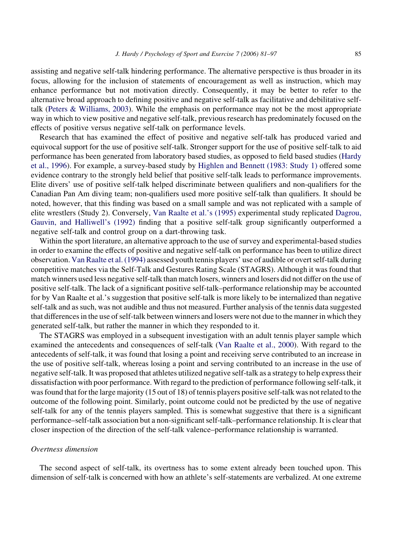assisting and negative self-talk hindering performance. The alternative perspective is thus broader in its focus, allowing for the inclusion of statements of encouragement as well as instruction, which may enhance performance but not motivation directly. Consequently, it may be better to refer to the alternative broad approach to defining positive and negative self-talk as facilitative and debilitative selftalk [\(Peters & Williams, 2003\)](#page-16-0). While the emphasis on performance may not be the most appropriate way in which to view positive and negative self-talk, previous research has predominately focused on the effects of positive versus negative self-talk on performance levels.

Research that has examined the effect of positive and negative self-talk has produced varied and equivocal support for the use of positive self-talk. Stronger support for the use of positive self-talk to aid performance has been generated from laboratory based studies, as opposed to field based studies [\(Hardy](#page-15-0) [et al., 1996\)](#page-15-0). For example, a survey-based study by [Highlen and Bennett \(1983: Study 1\)](#page-15-0) offered some evidence contrary to the strongly held belief that positive self-talk leads to performance improvements. Elite divers' use of positive self-talk helped discriminate between qualifiers and non-qualifiers for the Canadian Pan Am diving team; non-qualifiers used more positive self-talk than qualifiers. It should be noted, however, that this finding was based on a small sample and was not replicated with a sample of elite wrestlers (Study 2). Conversely, [Van Raalte et al.'s \(1995\)](#page-16-0) experimental study replicated [Dagrou,](#page-14-0) [Gauvin, and Halliwell's \(1992\)](#page-14-0) finding that a positive self-talk group significantly outperformed a negative self-talk and control group on a dart-throwing task.

Within the sport literature, an alternative approach to the use of survey and experimental-based studies in order to examine the effects of positive and negative self-talk on performance has been to utilize direct observation. [Van Raalte et al. \(1994\)](#page-16-0) assessed youth tennis players' use of audible or overt self-talk during competitive matches via the Self-Talk and Gestures Rating Scale (STAGRS). Although it was found that match winners used less negative self-talk than match losers, winners and losers did not differ on the use of positive self-talk. The lack of a significant positive self-talk–performance relationship may be accounted for by Van Raalte et al.'s suggestion that positive self-talk is more likely to be internalized than negative self-talk and as such, was not audible and thus not measured. Further analysis of the tennis data suggested that differences in the use of self-talk between winners and losers were not due to the manner in which they generated self-talk, but rather the manner in which they responded to it.

The STAGRS was employed in a subsequent investigation with an adult tennis player sample which examined the antecedents and consequences of self-talk [\(Van Raalte et al., 2000](#page-16-0)). With regard to the antecedents of self-talk, it was found that losing a point and receiving serve contributed to an increase in the use of positive self-talk, whereas losing a point and serving contributed to an increase in the use of negative self-talk. It was proposed that athletes utilized negative self-talk as a strategy to help express their dissatisfaction with poor performance. With regard to the prediction of performance following self-talk, it was found that for the large majority (15 out of 18) of tennis players positive self-talk was not related to the outcome of the following point. Similarly, point outcome could not be predicted by the use of negative self-talk for any of the tennis players sampled. This is somewhat suggestive that there is a significant performance–self-talk association but a non-significant self-talk–performance relationship. It is clear that closer inspection of the direction of the self-talk valence–performance relationship is warranted.

#### Overtness dimension

The second aspect of self-talk, its overtness has to some extent already been touched upon. This dimension of self-talk is concerned with how an athlete's self-statements are verbalized. At one extreme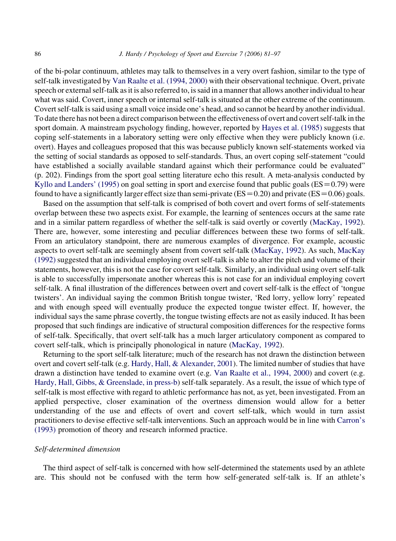of the bi-polar continuum, athletes may talk to themselves in a very overt fashion, similar to the type of self-talk investigated by [Van Raalte et al. \(1994, 2000\)](#page-16-0) with their observational technique. Overt, private speech or external self-talk as it is also referred to, is said in a manner that allows another individual to hear what was said. Covert, inner speech or internal self-talk is situated at the other extreme of the continuum. Covert self-talk is said using a small voice inside one's head, and so cannot be heard by another individual. To date there has not been a direct comparison between the effectiveness of overt and covert self-talk in the sport domain. A mainstream psychology finding, however, reported by [Hayes et al. \(1985\)](#page-15-0) suggests that coping self-statements in a laboratory setting were only effective when they were publicly known (i.e. overt). Hayes and colleagues proposed that this was because publicly known self-statements worked via the setting of social standards as opposed to self-standards. Thus, an overt coping self-statement "could have established a socially available standard against which their performance could be evaluated" (p. 202). Findings from the sport goal setting literature echo this result. A meta-analysis conducted by [Kyllo and Landers' \(1995\)](#page-15-0) on goal setting in sport and exercise found that public goals ( $ES = 0.79$ ) were found to have a significantly larger effect size than semi-private ( $ES = 0.20$ ) and private ( $ES = 0.06$ ) goals.

Based on the assumption that self-talk is comprised of both covert and overt forms of self-statements overlap between these two aspects exist. For example, the learning of sentences occurs at the same rate and in a similar pattern regardless of whether the self-talk is said overtly or covertly ([MacKay, 1992](#page-15-0)). There are, however, some interesting and peculiar differences between these two forms of self-talk. From an articulatory standpoint, there are numerous examples of divergence. For example, acoustic aspects to overt self-talk are seemingly absent from covert self-talk [\(MacKay, 1992](#page-15-0)). As such, [MacKay](#page-15-0) [\(1992\)](#page-15-0) suggested that an individual employing overt self-talk is able to alter the pitch and volume of their statements, however, this is not the case for covert self-talk. Similarly, an individual using overt self-talk is able to successfully impersonate another whereas this is not case for an individual employing covert self-talk. A final illustration of the differences between overt and covert self-talk is the effect of 'tongue twisters'. An individual saying the common British tongue twister, 'Red lorry, yellow lorry' repeated and with enough speed will eventually produce the expected tongue twister effect. If, however, the individual says the same phrase covertly, the tongue twisting effects are not as easily induced. It has been proposed that such findings are indicative of structural composition differences for the respective forms of self-talk. Specifically, that overt self-talk has a much larger articulatory component as compared to covert self-talk, which is principally phonological in nature ([MacKay, 1992](#page-15-0)).

Returning to the sport self-talk literature; much of the research has not drawn the distinction between overt and covert self-talk (e.g. [Hardy, Hall, & Alexander, 2001](#page-15-0)). The limited number of studies that have drawn a distinction have tended to examine overt (e.g. [Van Raalte et al., 1994, 2000](#page-16-0)) and covert (e.g. [Hardy, Hall, Gibbs, & Greenslade, in press-b\)](#page-15-0) self-talk separately. As a result, the issue of which type of self-talk is most effective with regard to athletic performance has not, as yet, been investigated. From an applied perspective, closer examination of the overtness dimension would allow for a better understanding of the use and effects of overt and covert self-talk, which would in turn assist practitioners to devise effective self-talk interventions. Such an approach would be in line with [Carron's](#page-14-0) [\(1993\)](#page-14-0) promotion of theory and research informed practice.

#### Self-determined dimension

The third aspect of self-talk is concerned with how self-determined the statements used by an athlete are. This should not be confused with the term how self-generated self-talk is. If an athlete's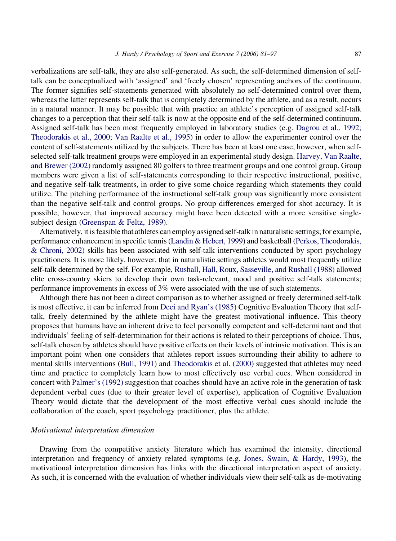verbalizations are self-talk, they are also self-generated. As such, the self-determined dimension of selftalk can be conceptualized with 'assigned' and 'freely chosen' representing anchors of the continuum. The former signifies self-statements generated with absolutely no self-determined control over them, whereas the latter represents self-talk that is completely determined by the athlete, and as a result, occurs in a natural manner. It may be possible that with practice an athlete's perception of assigned self-talk changes to a perception that their self-talk is now at the opposite end of the self-determined continuum. Assigned self-talk has been most frequently employed in laboratory studies (e.g. [Dagrou et al., 1992;](#page-14-0) [Theodorakis et al., 2000; Van Raalte et al., 1995](#page-14-0)) in order to allow the experimenter control over the content of self-statements utilized by the subjects. There has been at least one case, however, when selfselected self-talk treatment groups were employed in an experimental study design. [Harvey, Van Raalte,](#page-15-0) [and Brewer \(2002\)](#page-15-0) randomly assigned 80 golfers to three treatment groups and one control group. Group members were given a list of self-statements corresponding to their respective instructional, positive, and negative self-talk treatments, in order to give some choice regarding which statements they could utilize. The pitching performance of the instructional self-talk group was significantly more consistent than the negative self-talk and control groups. No group differences emerged for shot accuracy. It is possible, however, that improved accuracy might have been detected with a more sensitive singlesubject design [\(Greenspan & Feltz, 1989](#page-14-0)).

Alternatively, it is feasible that athletes can employ assigned self-talk in naturalistic settings; for example, performance enhancement in specific tennis [\(Landin & Hebert, 1999\)](#page-15-0) and basketball [\(Perkos, Theodorakis,](#page-16-0) [& Chroni, 2002\)](#page-16-0) skills has been associated with self-talk interventions conducted by sport psychology practitioners. It is more likely, however, that in naturalistic settings athletes would most frequently utilize self-talk determined by the self. For example, [Rushall, Hall, Roux, Sasseville, and Rushall \(1988\)](#page-16-0) allowed elite cross-country skiers to develop their own task-relevant, mood and positive self-talk statements; performance improvements in excess of 3% were associated with the use of such statements.

Although there has not been a direct comparison as to whether assigned or freely determined self-talk is most effective, it can be inferred from [Deci and Ryan's \(1985\)](#page-14-0) Cognitive Evaluation Theory that selftalk, freely determined by the athlete might have the greatest motivational influence. This theory proposes that humans have an inherent drive to feel personally competent and self-determinant and that individuals' feeling of self-determination for their actions is related to their perceptions of choice. Thus, self-talk chosen by athletes should have positive effects on their levels of intrinsic motivation. This is an important point when one considers that athletes report issues surrounding their ability to adhere to mental skills interventions [\(Bull, 1991](#page-14-0)) and [Theodorakis et al. \(2000\)](#page-16-0) suggested that athletes may need time and practice to completely learn how to most effectively use verbal cues. When considered in concert with [Palmer's \(1992\)](#page-16-0) suggestion that coaches should have an active role in the generation of task dependent verbal cues (due to their greater level of expertise), application of Cognitive Evaluation Theory would dictate that the development of the most effective verbal cues should include the collaboration of the coach, sport psychology practitioner, plus the athlete.

## Motivational interpretation dimension

Drawing from the competitive anxiety literature which has examined the intensity, directional interpretation and frequency of anxiety related symptoms (e.g. [Jones, Swain, & Hardy, 1993](#page-15-0)), the motivational interpretation dimension has links with the directional interpretation aspect of anxiety. As such, it is concerned with the evaluation of whether individuals view their self-talk as de-motivating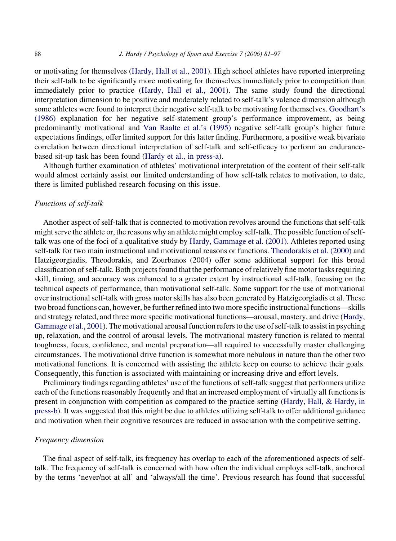or motivating for themselves [\(Hardy, Hall et al., 2001](#page-15-0)). High school athletes have reported interpreting their self-talk to be significantly more motivating for themselves immediately prior to competition than immediately prior to practice ([Hardy, Hall et al., 2001\)](#page-15-0). The same study found the directional interpretation dimension to be positive and moderately related to self-talk's valence dimension although some athletes were found to interpret their negative self-talk to be motivating for themselves. [Goodhart's](#page-14-0) [\(1986\)](#page-14-0) explanation for her negative self-statement group's performance improvement, as being predominantly motivational and [Van Raalte et al.'s \(1995\)](#page-16-0) negative self-talk group's higher future expectations findings, offer limited support for this latter finding. Furthermore, a positive weak bivariate correlation between directional interpretation of self-talk and self-efficacy to perform an endurancebased sit-up task has been found [\(Hardy et al., in press-a\)](#page-15-0).

Although further examination of athletes' motivational interpretation of the content of their self-talk would almost certainly assist our limited understanding of how self-talk relates to motivation, to date, there is limited published research focusing on this issue.

## Functions of self-talk

Another aspect of self-talk that is connected to motivation revolves around the functions that self-talk might serve the athlete or, the reasons why an athlete might employ self-talk. The possible function of selftalk was one of the foci of a qualitative study by [Hardy, Gammage et al. \(2001\)](#page-15-0). Athletes reported using self-talk for two main instructional and motivational reasons or functions. [Theodorakis et al. \(2000\)](#page-16-0) and Hatzigeorgiadis, Theodorakis, and Zourbanos (2004) offer some additional support for this broad classification of self-talk. Both projects found that the performance of relatively fine motor tasks requiring skill, timing, and accuracy was enhanced to a greater extent by instructional self-talk, focusing on the technical aspects of performance, than motivational self-talk. Some support for the use of motivational over instructional self-talk with gross motor skills has also been generated by Hatzigeorgiadis et al. These two broad functions can, however, be further refined into two more specific instructional functions—skills and strategy related, and three more specific motivational functions—arousal, mastery, and drive ([Hardy,](#page-15-0) [Gammage et al., 2001](#page-15-0)). The motivational arousal function refers to the use of self-talk to assist in psyching up, relaxation, and the control of arousal levels. The motivational mastery function is related to mental toughness, focus, confidence, and mental preparation—all required to successfully master challenging circumstances. The motivational drive function is somewhat more nebulous in nature than the other two motivational functions. It is concerned with assisting the athlete keep on course to achieve their goals. Consequently, this function is associated with maintaining or increasing drive and effort levels.

Preliminary findings regarding athletes' use of the functions of self-talk suggest that performers utilize each of the functions reasonably frequently and that an increased employment of virtually all functions is present in conjunction with competition as compared to the practice setting ([Hardy, Hall, & Hardy, in](#page-15-0) [press-b](#page-15-0)). It was suggested that this might be due to athletes utilizing self-talk to offer additional guidance and motivation when their cognitive resources are reduced in association with the competitive setting.

#### Frequency dimension

The final aspect of self-talk, its frequency has overlap to each of the aforementioned aspects of selftalk. The frequency of self-talk is concerned with how often the individual employs self-talk, anchored by the terms 'never/not at all' and 'always/all the time'. Previous research has found that successful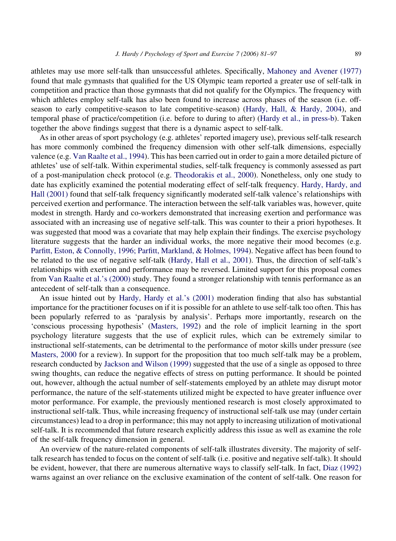athletes may use more self-talk than unsuccessful athletes. Specifically, [Mahoney and Avener \(1977\)](#page-15-0) found that male gymnasts that qualified for the US Olympic team reported a greater use of self-talk in competition and practice than those gymnasts that did not qualify for the Olympics. The frequency with which athletes employ self-talk has also been found to increase across phases of the season (i.e. offseason to early competitive-season to late competitive-season) ([Hardy, Hall, & Hardy, 2004\)](#page-15-0), and temporal phase of practice/competition (i.e. before to during to after) ([Hardy et al., in press-b\)](#page-15-0). Taken together the above findings suggest that there is a dynamic aspect to self-talk.

As in other areas of sport psychology (e.g. athletes' reported imagery use), previous self-talk research has more commonly combined the frequency dimension with other self-talk dimensions, especially valence (e.g. [Van Raalte et al., 1994\)](#page-16-0). This has been carried out in order to gain a more detailed picture of athletes' use of self-talk. Within experimental studies, self-talk frequency is commonly assessed as part of a post-manipulation check protocol (e.g. [Theodorakis et al., 2000\)](#page-16-0). Nonetheless, only one study to date has explicitly examined the potential moderating effect of self-talk frequency. [Hardy, Hardy, and](#page-15-0) [Hall \(2001\)](#page-15-0) found that self-talk frequency significantly moderated self-talk valence's relationships with perceived exertion and performance. The interaction between the self-talk variables was, however, quite modest in strength. Hardy and co-workers demonstrated that increasing exertion and performance was associated with an increasing use of negative self-talk. This was counter to their a priori hypotheses. It was suggested that mood was a covariate that may help explain their findings. The exercise psychology literature suggests that the harder an individual works, the more negative their mood becomes (e.g. [Parfitt, Eston, & Connolly, 1996; Parfitt, Markland, & Holmes, 1994\)](#page-16-0). Negative affect has been found to be related to the use of negative self-talk ([Hardy, Hall et al., 2001\)](#page-15-0). Thus, the direction of self-talk's relationships with exertion and performance may be reversed. Limited support for this proposal comes from [Van Raalte et al.'s \(2000\)](#page-16-0) study. They found a stronger relationship with tennis performance as an antecedent of self-talk than a consequence.

An issue hinted out by [Hardy, Hardy et al.'s \(2001\)](#page-15-0) moderation finding that also has substantial importance for the practitioner focuses on if it is possible for an athlete to use self-talk too often. This has been popularly referred to as 'paralysis by analysis'. Perhaps more importantly, research on the 'conscious processing hypothesis' [\(Masters, 1992](#page-15-0)) and the role of implicit learning in the sport psychology literature suggests that the use of explicit rules, which can be extremely similar to instructional self-statements, can be detrimental to the performance of motor skills under pressure (see [Masters, 2000](#page-15-0) for a review). In support for the proposition that too much self-talk may be a problem, research conducted by [Jackson and Wilson \(1999\)](#page-15-0) suggested that the use of a single as opposed to three swing thoughts, can reduce the negative effects of stress on putting performance. It should be pointed out, however, although the actual number of self-statements employed by an athlete may disrupt motor performance, the nature of the self-statements utilized might be expected to have greater influence over motor performance. For example, the previously mentioned research is most closely approximated to instructional self-talk. Thus, while increasing frequency of instructional self-talk use may (under certain circumstances) lead to a drop in performance; this may not apply to increasing utilization of motivational self-talk. It is recommended that future research explicitly address this issue as well as examine the role of the self-talk frequency dimension in general.

An overview of the nature-related components of self-talk illustrates diversity. The majority of selftalk research has tended to focus on the content of self-talk (i.e. positive and negative self-talk). It should be evident, however, that there are numerous alternative ways to classify self-talk. In fact, [Diaz \(1992\)](#page-14-0) warns against an over reliance on the exclusive examination of the content of self-talk. One reason for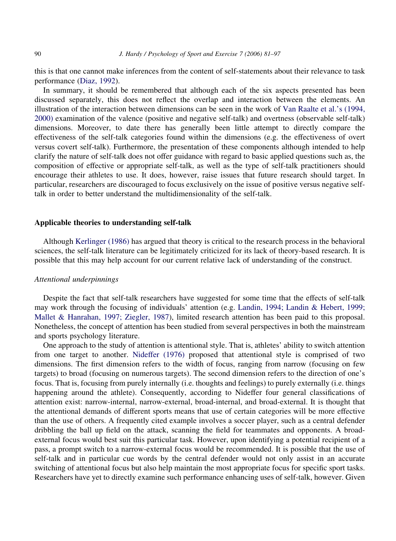this is that one cannot make inferences from the content of self-statements about their relevance to task performance ([Diaz, 1992\)](#page-14-0).

In summary, it should be remembered that although each of the six aspects presented has been discussed separately, this does not reflect the overlap and interaction between the elements. An illustration of the interaction between dimensions can be seen in the work of [Van Raalte et al.'s \(1994,](#page-16-0) [2000\)](#page-16-0) examination of the valence (positive and negative self-talk) and overtness (observable self-talk) dimensions. Moreover, to date there has generally been little attempt to directly compare the effectiveness of the self-talk categories found within the dimensions (e.g. the effectiveness of overt versus covert self-talk). Furthermore, the presentation of these components although intended to help clarify the nature of self-talk does not offer guidance with regard to basic applied questions such as, the composition of effective or appropriate self-talk, as well as the type of self-talk practitioners should encourage their athletes to use. It does, however, raise issues that future research should target. In particular, researchers are discouraged to focus exclusively on the issue of positive versus negative selftalk in order to better understand the multidimensionality of the self-talk.

## Applicable theories to understanding self-talk

Although [Kerlinger \(1986\)](#page-15-0) has argued that theory is critical to the research process in the behavioral sciences, the self-talk literature can be legitimately criticized for its lack of theory-based research. It is possible that this may help account for our current relative lack of understanding of the construct.

# Attentional underpinnings

Despite the fact that self-talk researchers have suggested for some time that the effects of self-talk may work through the focusing of individuals' attention (e.g. [Landin, 1994; Landin & Hebert, 1999;](#page-15-0) [Mallet & Hanrahan, 1997; Ziegler, 1987](#page-15-0)), limited research attention has been paid to this proposal. Nonetheless, the concept of attention has been studied from several perspectives in both the mainstream and sports psychology literature.

One approach to the study of attention is attentional style. That is, athletes' ability to switch attention from one target to another. [Nideffer \(1976\)](#page-16-0) proposed that attentional style is comprised of two dimensions. The first dimension refers to the width of focus, ranging from narrow (focusing on few targets) to broad (focusing on numerous targets). The second dimension refers to the direction of one's focus. That is, focusing from purely internally (i.e. thoughts and feelings) to purely externally (i.e. things happening around the athlete). Consequently, according to Nideffer four general classifications of attention exist: narrow-internal, narrow-external, broad-internal, and broad-external. It is thought that the attentional demands of different sports means that use of certain categories will be more effective than the use of others. A frequently cited example involves a soccer player, such as a central defender dribbling the ball up field on the attack, scanning the field for teammates and opponents. A broadexternal focus would best suit this particular task. However, upon identifying a potential recipient of a pass, a prompt switch to a narrow-external focus would be recommended. It is possible that the use of self-talk and in particular cue words by the central defender would not only assist in an accurate switching of attentional focus but also help maintain the most appropriate focus for specific sport tasks. Researchers have yet to directly examine such performance enhancing uses of self-talk, however. Given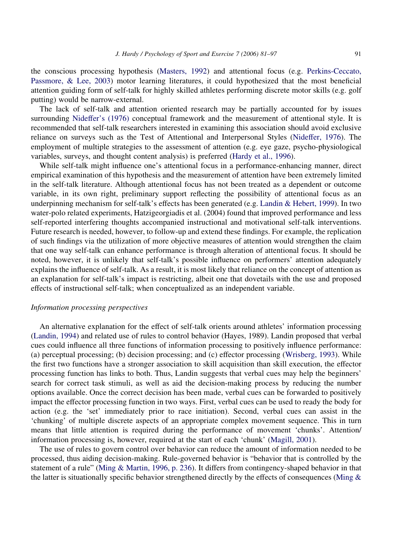the conscious processing hypothesis [\(Masters, 1992](#page-15-0)) and attentional focus (e.g. [Perkins-Ceccato,](#page-16-0) [Passmore, & Lee, 2003\)](#page-16-0) motor learning literatures, it could hypothesized that the most beneficial attention guiding form of self-talk for highly skilled athletes performing discrete motor skills (e.g. golf putting) would be narrow-external.

The lack of self-talk and attention oriented research may be partially accounted for by issues surrounding [Nideffer's \(1976\)](#page-16-0) conceptual framework and the measurement of attentional style. It is recommended that self-talk researchers interested in examining this association should avoid exclusive reliance on surveys such as the Test of Attentional and Interpersonal Styles ([Nideffer, 1976\)](#page-16-0). The employment of multiple strategies to the assessment of attention (e.g. eye gaze, psycho-physiological variables, surveys, and thought content analysis) is preferred [\(Hardy et al., 1996\)](#page-15-0).

While self-talk might influence one's attentional focus in a performance-enhancing manner, direct empirical examination of this hypothesis and the measurement of attention have been extremely limited in the self-talk literature. Although attentional focus has not been treated as a dependent or outcome variable, in its own right, preliminary support reflecting the possibility of attentional focus as an underpinning mechanism for self-talk's effects has been generated (e.g. [Landin & Hebert, 1999\)](#page-15-0). In two water-polo related experiments, Hatzigeorgiadis et al. (2004) found that improved performance and less self-reported interfering thoughts accompanied instructional and motivational self-talk interventions. Future research is needed, however, to follow-up and extend these findings. For example, the replication of such findings via the utilization of more objective measures of attention would strengthen the claim that one way self-talk can enhance performance is through alteration of attentional focus. It should be noted, however, it is unlikely that self-talk's possible influence on performers' attention adequately explains the influence of self-talk. As a result, it is most likely that reliance on the concept of attention as an explanation for self-talk's impact is restricting, albeit one that dovetails with the use and proposed effects of instructional self-talk; when conceptualized as an independent variable.

#### Information processing perspectives

An alternative explanation for the effect of self-talk orients around athletes' information processing [\(Landin, 1994\)](#page-15-0) and related use of rules to control behavior (Hayes, 1989). Landin proposed that verbal cues could influence all three functions of information processing to positively influence performance: (a) perceptual processing; (b) decision processing; and (c) effector processing [\(Wrisberg, 1993\)](#page-16-0). While the first two functions have a stronger association to skill acquisition than skill execution, the effector processing function has links to both. Thus, Landin suggests that verbal cues may help the beginners' search for correct task stimuli, as well as aid the decision-making process by reducing the number options available. Once the correct decision has been made, verbal cues can be forwarded to positively impact the effector processing function in two ways. First, verbal cues can be used to ready the body for action (e.g. the 'set' immediately prior to race initiation). Second, verbal cues can assist in the 'chunking' of multiple discrete aspects of an appropriate complex movement sequence. This in turn means that little attention is required during the performance of movement 'chunks'. Attention/ information processing is, however, required at the start of each 'chunk' ([Magill, 2001](#page-15-0)).

The use of rules to govern control over behavior can reduce the amount of information needed to be processed, thus aiding decision-making. Rule-governed behavior is "behavior that is controlled by the statement of a rule" [\(Ming & Martin, 1996, p. 236\)](#page-15-0). It differs from contingency-shaped behavior in that the latter is situationally specific behavior strengthened directly by the effects of consequences ([Ming &](#page-15-0)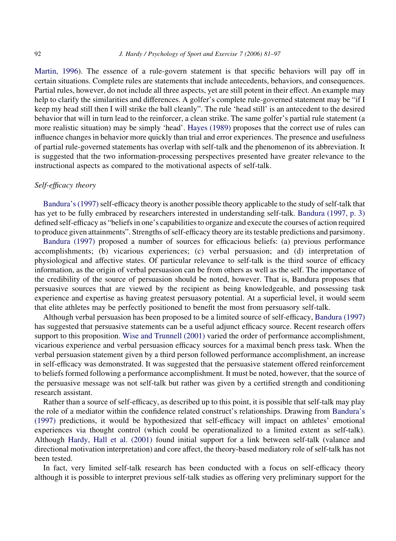[Martin, 1996](#page-15-0)). The essence of a rule-govern statement is that specific behaviors will pay off in certain situations. Complete rules are statements that include antecedents, behaviors, and consequences. Partial rules, however, do not include all three aspects, yet are still potent in their effect. An example may help to clarify the similarities and differences. A golfer's complete rule-governed statement may be "if I keep my head still then I will strike the ball cleanly". The rule 'head still' is an antecedent to the desired behavior that will in turn lead to the reinforcer, a clean strike. The same golfer's partial rule statement (a more realistic situation) may be simply 'head'. [Hayes \(1989\)](#page-15-0) proposes that the correct use of rules can influence changes in behavior more quickly than trial and error experiences. The presence and usefulness of partial rule-governed statements has overlap with self-talk and the phenomenon of its abbreviation. It is suggested that the two information-processing perspectives presented have greater relevance to the instructional aspects as compared to the motivational aspects of self-talk.

## Self-efficacy theory

[Bandura's \(1997\)](#page-14-0) self-efficacy theory is another possible theory applicable to the study of self-talk that has yet to be fully embraced by researchers interested in understanding self-talk. [Bandura \(1997, p. 3\)](#page-14-0) defined self-efficacy as "beliefs in one's capabilities to organize and execute the courses of action required to produce given attainments". Strengths of self-efficacy theory are its testable predictions and parsimony.

[Bandura \(1997\)](#page-14-0) proposed a number of sources for efficacious beliefs: (a) previous performance accomplishments; (b) vicarious experiences; (c) verbal persuasion; and (d) interpretation of physiological and affective states. Of particular relevance to self-talk is the third source of efficacy information, as the origin of verbal persuasion can be from others as well as the self. The importance of the credibility of the source of persuasion should be noted, however. That is, Bandura proposes that persuasive sources that are viewed by the recipient as being knowledgeable, and possessing task experience and expertise as having greatest persuasory potential. At a superficial level, it would seem that elite athletes may be perfectly positioned to benefit the most from persuasory self-talk.

Although verbal persuasion has been proposed to be a limited source of self-efficacy, [Bandura \(1997\)](#page-14-0) has suggested that persuasive statements can be a useful adjunct efficacy source. Recent research offers support to this proposition. [Wise and Trunnell \(2001\)](#page-16-0) varied the order of performance accomplishment, vicarious experience and verbal persuasion efficacy sources for a maximal bench press task. When the verbal persuasion statement given by a third person followed performance accomplishment, an increase in self-efficacy was demonstrated. It was suggested that the persuasive statement offered reinforcement to beliefs formed following a performance accomplishment. It must be noted, however, that the source of the persuasive message was not self-talk but rather was given by a certified strength and conditioning research assistant.

Rather than a source of self-efficacy, as described up to this point, it is possible that self-talk may play the role of a mediator within the confidence related construct's relationships. Drawing from [Bandura's](#page-14-0) [\(1997\)](#page-14-0) predictions, it would be hypothesized that self-efficacy will impact on athletes' emotional experiences via thought control (which could be operationalized to a limited extent as self-talk). Although [Hardy, Hall et al. \(2001\)](#page-15-0) found initial support for a link between self-talk (valance and directional motivation interpretation) and core affect, the theory-based mediatory role of self-talk has not been tested.

In fact, very limited self-talk research has been conducted with a focus on self-efficacy theory although it is possible to interpret previous self-talk studies as offering very preliminary support for the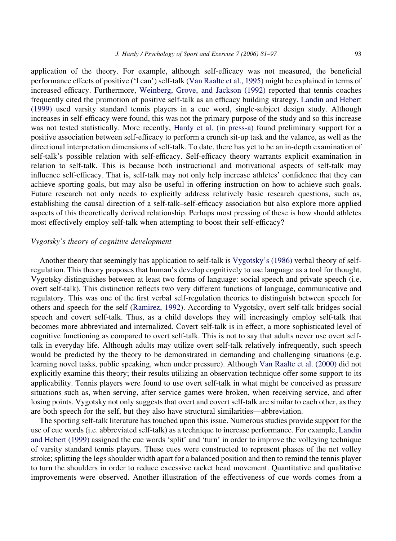application of the theory. For example, although self-efficacy was not measured, the beneficial performance effects of positive ('I can') self-talk ([Van Raalte et al., 1995\)](#page-16-0) might be explained in terms of increased efficacy. Furthermore, [Weinberg, Grove, and Jackson \(1992\)](#page-16-0) reported that tennis coaches frequently cited the promotion of positive self-talk as an efficacy building strategy. [Landin and Hebert](#page-15-0) [\(1999\)](#page-15-0) used varsity standard tennis players in a cue word, single-subject design study. Although increases in self-efficacy were found, this was not the primary purpose of the study and so this increase was not tested statistically. More recently, [Hardy et al. \(in press-a\)](#page-15-0) found preliminary support for a positive association between self-efficacy to perform a crunch sit-up task and the valance, as well as the directional interpretation dimensions of self-talk. To date, there has yet to be an in-depth examination of self-talk's possible relation with self-efficacy. Self-efficacy theory warrants explicit examination in relation to self-talk. This is because both instructional and motivational aspects of self-talk may influence self-efficacy. That is, self-talk may not only help increase athletes' confidence that they can achieve sporting goals, but may also be useful in offering instruction on how to achieve such goals. Future research not only needs to explicitly address relatively basic research questions, such as, establishing the causal direction of a self-talk–self-efficacy association but also explore more applied aspects of this theoretically derived relationship. Perhaps most pressing of these is how should athletes most effectively employ self-talk when attempting to boost their self-efficacy?

## Vygotsky's theory of cognitive development

Another theory that seemingly has application to self-talk is [Vygotsky's \(1986\)](#page-16-0) verbal theory of selfregulation. This theory proposes that human's develop cognitively to use language as a tool for thought. Vygotsky distinguishes between at least two forms of language: social speech and private speech (i.e. overt self-talk). This distinction reflects two very different functions of language, communicative and regulatory. This was one of the first verbal self-regulation theories to distinguish between speech for others and speech for the self ([Ramirez, 1992](#page-16-0)). According to Vygotsky, overt self-talk bridges social speech and covert self-talk. Thus, as a child develops they will increasingly employ self-talk that becomes more abbreviated and internalized. Covert self-talk is in effect, a more sophisticated level of cognitive functioning as compared to overt self-talk. This is not to say that adults never use overt selftalk in everyday life. Although adults may utilize overt self-talk relatively infrequently, such speech would be predicted by the theory to be demonstrated in demanding and challenging situations (e.g. learning novel tasks, public speaking, when under pressure). Although [Van Raalte et al. \(2000\)](#page-16-0) did not explicitly examine this theory; their results utilizing an observation technique offer some support to its applicability. Tennis players were found to use overt self-talk in what might be conceived as pressure situations such as, when serving, after service games were broken, when receiving service, and after losing points. Vygotsky not only suggests that overt and covert self-talk are similar to each other, as they are both speech for the self, but they also have structural similarities—abbreviation.

The sporting self-talk literature has touched upon this issue. Numerous studies provide support for the use of cue words (i.e. abbreviated self-talk) as a technique to increase performance. For example, [Landin](#page-15-0) [and Hebert \(1999\)](#page-15-0) assigned the cue words 'split' and 'turn' in order to improve the volleying technique of varsity standard tennis players. These cues were constructed to represent phases of the net volley stroke; splitting the legs shoulder width apart for a balanced position and then to remind the tennis player to turn the shoulders in order to reduce excessive racket head movement. Quantitative and qualitative improvements were observed. Another illustration of the effectiveness of cue words comes from a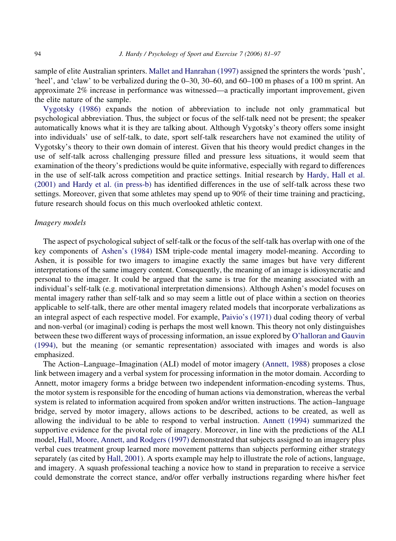sample of elite Australian sprinters. [Mallet and Hanrahan \(1997\)](#page-15-0) assigned the sprinters the words 'push', 'heel', and 'claw' to be verbalized during the 0–30, 30–60, and 60–100 m phases of a 100 m sprint. An approximate 2% increase in performance was witnessed—a practically important improvement, given the elite nature of the sample.

[Vygotsky \(1986\)](#page-16-0) expands the notion of abbreviation to include not only grammatical but psychological abbreviation. Thus, the subject or focus of the self-talk need not be present; the speaker automatically knows what it is they are talking about. Although Vygotsky's theory offers some insight into individuals' use of self-talk, to date, sport self-talk researchers have not examined the utility of Vygotsky's theory to their own domain of interest. Given that his theory would predict changes in the use of self-talk across challenging pressure filled and pressure less situations, it would seem that examination of the theory's predictions would be quite informative, especially with regard to differences in the use of self-talk across competition and practice settings. Initial research by [Hardy, Hall et al.](#page-15-0) [\(2001\) and Hardy et al. \(in press-b\)](#page-15-0) has identified differences in the use of self-talk across these two settings. Moreover, given that some athletes may spend up to 90% of their time training and practicing, future research should focus on this much overlooked athletic context.

#### Imagery models

The aspect of psychological subject of self-talk or the focus of the self-talk has overlap with one of the key components of [Ashen's \(1984\)](#page-14-0) ISM triple-code mental imagery model-meaning. According to Ashen, it is possible for two imagers to imagine exactly the same images but have very different interpretations of the same imagery content. Consequently, the meaning of an image is idiosyncratic and personal to the imager. It could be argued that the same is true for the meaning associated with an individual's self-talk (e.g. motivational interpretation dimensions). Although Ashen's model focuses on mental imagery rather than self-talk and so may seem a little out of place within a section on theories applicable to self-talk, there are other mental imagery related models that incorporate verbalizations as an integral aspect of each respective model. For example, [Paivio's \(1971\)](#page-16-0) dual coding theory of verbal and non-verbal (or imaginal) coding is perhaps the most well known. This theory not only distinguishes between these two different ways of processing information, an issue explored by [O'halloran and Gauvin](#page-16-0) [\(1994\),](#page-16-0) but the meaning (or semantic representation) associated with images and words is also emphasized.

The Action–Language–Imagination (ALI) model of motor imagery [\(Annett, 1988](#page-14-0)) proposes a close link between imagery and a verbal system for processing information in the motor domain. According to Annett, motor imagery forms a bridge between two independent information-encoding systems. Thus, the motor system is responsible for the encoding of human actions via demonstration, whereas the verbal system is related to information acquired from spoken and/or written instructions. The action–language bridge, served by motor imagery, allows actions to be described, actions to be created, as well as allowing the individual to be able to respond to verbal instruction. [Annett \(1994\)](#page-14-0) summarized the supportive evidence for the pivotal role of imagery. Moreover, in line with the predictions of the ALI model, [Hall, Moore, Annett, and Rodgers \(1997\)](#page-15-0) demonstrated that subjects assigned to an imagery plus verbal cues treatment group learned more movement patterns than subjects performing either strategy separately (as cited by [Hall, 2001](#page-14-0)). A sports example may help to illustrate the role of actions, language, and imagery. A squash professional teaching a novice how to stand in preparation to receive a service could demonstrate the correct stance, and/or offer verbally instructions regarding where his/her feet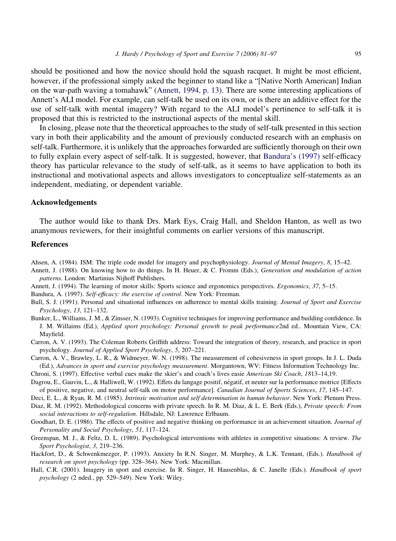<span id="page-14-0"></span>should be positioned and how the novice should hold the squash racquet. It might be most efficient, however, if the professional simply asked the beginner to stand like a "[Native North American] Indian on the war-path waving a tomahawk" (Annett, 1994, p. 13). There are some interesting applications of Annett's ALI model. For example, can self-talk be used on its own, or is there an additive effect for the use of self-talk with mental imagery? With regard to the ALI model's pertinence to self-talk it is proposed that this is restricted to the instructional aspects of the mental skill.

In closing, please note that the theoretical approaches to the study of self-talk presented in this section vary in both their applicability and the amount of previously conducted research with an emphasis on self-talk. Furthermore, it is unlikely that the approaches forwarded are sufficiently thorough on their own to fully explain every aspect of self-talk. It is suggested, however, that Bandura's (1997) self-efficacy theory has particular relevance to the study of self-talk, as it seems to have application to both its instructional and motivational aspects and allows investigators to conceptualize self-statements as an independent, mediating, or dependent variable.

# Acknowledgements

The author would like to thank Drs. Mark Eys, Craig Hall, and Sheldon Hanton, as well as two ananymous reviewers, for their insightful comments on earlier versions of this manuscript.

#### References

Ahsen, A. (1984). ISM: The triple code model for imagery and psychophysiology. Journal of Mental Imagery, 8, 15–42.

- Annett, J. (1988). On knowing how to do things. In H. Heuer, & C. Fromm (Eds.), Generation and modulation of action patterns. London: Martinius Nijhoff Publishers.
- Annett, J. (1994). The learning of motor skills: Sports science and ergonomics perspectives. Ergonomics, 37, 5–15.

Bandura, A. (1997). Self-efficacy: the exercise of control. New York: Freeman.

- Bull, S. J. (1991). Personal and situational influences on adherence to mental skills training. Journal of Sport and Exercise Psychology, 13, 121–132.
- Bunker, L., Williams, J. M., & Zinsser, N. (1993). Cognitive techniques for improving performance and building confidence. In J. M. Willaims (Ed.), Applied sport psychology: Personal growth to peak performance2nd ed.. Mountain View, CA: Mayfield.
- Carron, A. V. (1993). The Coleman Roberts Griffith address: Toward the integration of theory, research, and practice in sport psychology. Journal of Applied Sport Psychology, 5, 207–221.
- Carron, A. V., Brawley, L. R., & Widmeyer, W. N. (1998). The measurement of cohesiveness in sport groups. In J. L. Duda (Ed.), Advances in sport and exercise psychology measurement. Morgantown, WV: Fitness Information Technology Inc.
- Chroni, S. (1997). Effective verbal cues make the skier's and coach's lives easie American Ski Coach, 1813–14,19.
- Dagrou, E., Gauvin, L., & Halliwell, W. (1992). Effets du langage positif, négatif, et neuter sur la performance motrice [Effects] of positive, negative, and neutral self-talk on motor performance]. Canadian Journal of Sports Sciences, 17, 145–147.
- Deci, E. L., & Ryan, R. M. (1985). Intrinsic motivation and self determination in human behavior. New York: Plenum Press.
- Diaz, R. M. (1992). Methodological concerns with private speech. In R. M. Diaz, & L. E. Berk (Eds.), Private speech: From social interactions to self-regulation. Hillsdale, NJ: Lawrence Erlbaum.
- Goodhart, D. E. (1986). The effects of positive and negative thinking on performance in an achievement situation. Journal of Personality and Social Psychology, 51, 117–124.
- Greenspan, M. J., & Feltz, D. L. (1989). Psychological interventions with athletes in competitive situations: A review. The Sport Psychologist, 3, 219–236.
- Hackfort, D., & Schwenkmezger, P. (1993). Anxiety In R.N. Singer, M. Murphey, & L.K. Tennant, (Eds.). Handbook of research on sport psychology (pp. 328–364). New York: Macmillan.
- Hall, C.R. (2001). Imagery in sport and exercise. In R. Singer, H. Hausenblas, & C. Janelle (Eds.). Handbook of sport psychology (2 nded., pp. 529–549). New York: Wiley.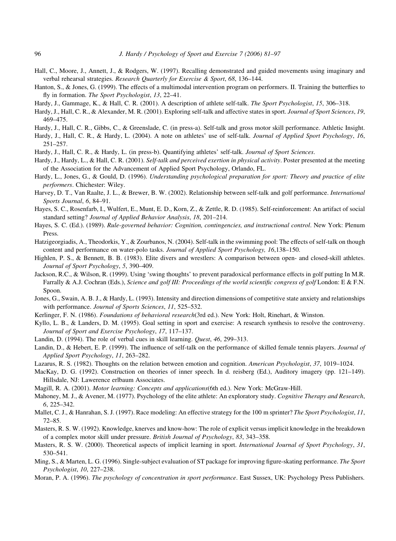- <span id="page-15-0"></span>Hall, C., Moore, J., Annett, J., & Rodgers, W. (1997). Recalling demonstrated and guided movements using imaginary and verbal rehearsal strategies. Research Quarterly for Exercise & Sport, 68, 136–144.
- Hanton, S., & Jones, G. (1999). The effects of a multimodal intervention program on performers. II. Training the butterflies to fly in formation. The Sport Psychologist, 13, 22–41.
- Hardy, J., Gammage, K., & Hall, C. R. (2001). A description of athlete self-talk. The Sport Psychologist, 15, 306–318.
- Hardy, J., Hall, C. R., & Alexander, M. R. (2001). Exploring self-talk and affective states in sport. Journal of Sport Sciences, 19, 469–475.
- Hardy, J., Hall, C. R., Gibbs, C., & Greenslade, C. (in press-a). Self-talk and gross motor skill performance. Athletic Insight.
- Hardy, J., Hall, C. R., & Hardy, L. (2004). A note on athletes' use of self-talk. Journal of Applied Sport Psychology, 16, 251–257.
- Hardy, J., Hall, C. R., & Hardy, L. (in press-b). Quantifying athletes' self-talk. Journal of Sport Sciences.
- Hardy, J., Hardy, L., & Hall, C. R. (2001). Self-talk and perceived exertion in physical activity. Poster presented at the meeting of the Association for the Advancement of Applied Sport Psychology, Orlando, FL.
- Hardy, L., Jones, G., & Gould, D. (1996). Understanding psychological preparation for sport: Theory and practice of elite performers. Chichester: Wiley.
- Harvey, D. T., Van Raalte, J. L., & Brewer, B. W. (2002). Relationship between self-talk and golf performance. International Sports Journal, 6, 84–91.
- Hayes, S. C., Rosenfarb, I., Wulfert, E., Munt, E. D., Korn, Z., & Zettle, R. D. (1985). Self-reinforcement: An artifact of social standard setting? Journal of Applied Behavior Analysis, 18, 201–214.
- Hayes, S. C. (Ed.). (1989). Rule-governed behavior: Cognition, contingencies, and instructional control. New York: Plenum Press.
- Hatzigeorgiadis, A., Theodorkis, Y., & Zourbanos, N. (2004). Self-talk in the swimming pool: The effects of self-talk on though content and performance on water-polo tasks. Journal of Applied Sport Psychology, 16,138–150.
- Highlen, P. S., & Bennett, B. B. (1983). Elite divers and wrestlers: A comparison between open- and closed-skill athletes. Journal of Sport Psychology, 5, 390–409.
- Jackson, R.C., & Wilson, R. (1999). Using 'swing thoughts' to prevent paradoxical performance effects in golf putting In M.R. Farrally & A.J. Cochran (Eds.), Science and golf III: Proceedings of the world scientific congress of golf London: E & F.N. Spoon.
- Jones, G., Swain, A. B. J., & Hardy, L. (1993). Intensity and direction dimensions of competitive state anxiety and relationships with performance. Journal of Sports Sciences, 11, 525–532.
- Kerlinger, F. N. (1986). Foundations of behavioral research(3rd ed.). New York: Holt, Rinehart, & Winston.
- Kyllo, L. B., & Landers, D. M. (1995). Goal setting in sport and exercise: A research synthesis to resolve the controversy. Journal of Sport and Exercise Psychology, 17, 117–137.
- Landin, D. (1994). The role of verbal cues in skill learning. Quest, 46, 299–313.
- Landin, D., & Hebert, E. P. (1999). The influence of self-talk on the performance of skilled female tennis players. Journal of Applied Sport Psychology, 11, 263–282.
- Lazarus, R. S. (1982). Thoughts on the relation between emotion and cognition. American Psychologist, 37, 1019–1024.
- MacKay, D. G. (1992). Construction on theories of inner speech. In d. reisberg (Ed.), Auditory imagery (pp. 121–149). Hillsdale, NJ: Lawerence erlbaum Associates.
- Magill, R. A. (2001). Motor learning: Concepts and applications(6th ed.). New York: McGraw-Hill.
- Mahoney, M. J., & Avener, M. (1977). Psychology of the elite athlete: An exploratory study. Cognitive Therapy and Research, 6, 225–342.
- Mallet, C. J., & Hanrahan, S. J. (1997). Race modeling: An effective strategy for the 100 m sprinter? The Sport Psychologist, 11, 72–85.
- Masters, R. S. W. (1992). Knowledge, knerves and know-how: The role of explicit versus implicit knowledge in the breakdown of a complex motor skill under pressure. British Journal of Psychology, 83, 343–358.
- Masters, R. S. W. (2000). Theoretical aspects of implicit learning in sport. International Journal of Sport Psychology, 31, 530–541.
- Ming, S., & Marten, L. G. (1996). Single-subject evaluation of ST package for improving figure-skating performance. The Sport Psychologist, 10, 227–238.
- Moran, P. A. (1996). The psychology of concentration in sport performance. East Sussex, UK: Psychology Press Publishers.